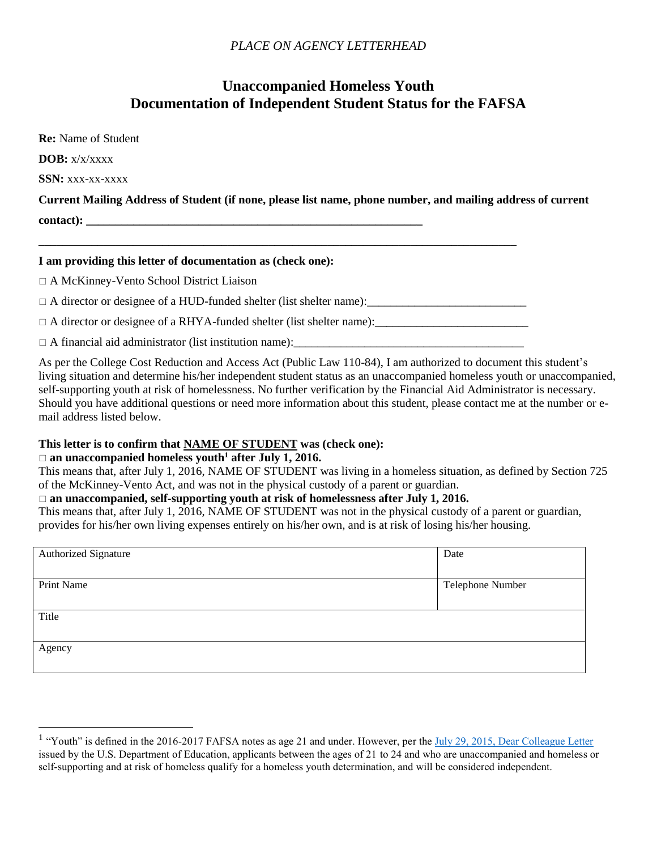# *PLACE ON AGENCY LETTERHEAD*

# **Unaccompanied Homeless Youth Documentation of Independent Student Status for the FAFSA**

| <b>Re:</b> Name of Student                                                                                  |
|-------------------------------------------------------------------------------------------------------------|
| $\bf{DOB: }$ x/x/xxxx                                                                                       |
| SSN: xxx-xx-xxxx                                                                                            |
| Current Mailing Address of Student (if none, please list name, phone number, and mailing address of current |
|                                                                                                             |
|                                                                                                             |

#### **I am providing this letter of documentation as (check one):**

A McKinney-Vento School District Liaison

 $\Box$  A director or designee of a HUD-funded shelter (list shelter name):

 $\Box$  A director or designee of a RHYA-funded shelter (list shelter name):

A financial aid administrator (list institution name):\_\_\_\_\_\_\_\_\_\_\_\_\_\_\_\_\_\_\_\_\_\_\_\_\_\_\_\_\_\_\_\_\_\_\_\_\_\_\_

As per the College Cost Reduction and Access Act (Public Law 110-84), I am authorized to document this student's living situation and determine his/her independent student status as an unaccompanied homeless youth or unaccompanied, self-supporting youth at risk of homelessness. No further verification by the Financial Aid Administrator is necessary. Should you have additional questions or need more information about this student, please contact me at the number or email address listed below.

## **This letter is to confirm that NAME OF STUDENT was (check one):**

#### **an unaccompanied homeless youth<sup>1</sup> after July 1, 2016.**

 $\overline{a}$ 

This means that, after July 1, 2016, NAME OF STUDENT was living in a homeless situation, as defined by Section 725 of the McKinney-Vento Act, and was not in the physical custody of a parent or guardian.

## □ an unaccompanied, self-supporting youth at risk of homelessness after July 1, 2016.

This means that, after July 1, 2016, NAME OF STUDENT was not in the physical custody of a parent or guardian, provides for his/her own living expenses entirely on his/her own, and is at risk of losing his/her housing.

| Date             |
|------------------|
|                  |
|                  |
| Telephone Number |
|                  |
|                  |
|                  |
|                  |
|                  |
|                  |
|                  |
|                  |
|                  |

<sup>&</sup>lt;sup>1</sup> "Youth" is defined in the 2016-2017 FAFSA notes as age 21 and under. However, per the [July 29, 2015, Dear Colleague Letter](http://www.ifap.ed.gov/dpcletters/attachments/GEN1516Attach.pdf) issued by the U.S. Department of Education, applicants between the ages of 21 to 24 and who are unaccompanied and homeless or self-supporting and at risk of homeless qualify for a homeless youth determination, and will be considered independent.